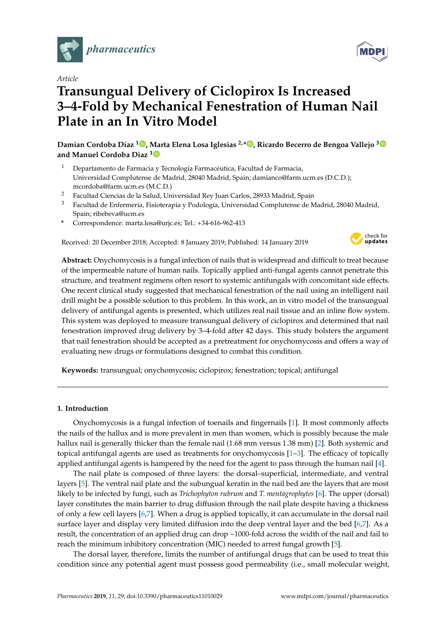

*Article*

# **Transungual Delivery of Ciclopirox Is Increased 3–4-Fold by Mechanical Fenestration of Human Nail Plate in an In Vitro Model**

**Damian Cordoba Díaz <sup>1</sup> [,](https://orcid.org/0000-0001-5547-3663) Marta Elena Losa Iglesias 2,[\\*](https://orcid.org/0000-0001-7588-2069) , Ricardo Becerro de Bengoa Vallejo [3](https://orcid.org/0000-0003-1568-7602) and Manuel Cordoba Diaz [1](https://orcid.org/0000-0001-7880-9692)**

- <sup>1</sup> Departamento de Farmacia y Tecnología Farmacéutica, Facultad de Farmacia, Universidad Complutense de Madrid, 28040 Madrid, Spain; damianco@farm.ucm.es (D.C.D.); mcordoba@farm.ucm.es (M.C.D.)
- <sup>2</sup> Facultad Ciencias de la Salud, Universidad Rey Juan Carlos, 28933 Madrid, Spain
- <sup>3</sup> Facultad de Enfermería, Fisioterapia y Podología, Universidad Complutense de Madrid, 28040 Madrid, Spain; ribebeva@ucm.es
- **\*** Correspondence: marta.losa@urjc.es; Tel.: +34-616-962-413

Received: 20 December 2018; Accepted: 8 January 2019; Published: 14 January 2019



**Abstract:** Onychomycosis is a fungal infection of nails that is widespread and difficult to treat because of the impermeable nature of human nails. Topically applied anti-fungal agents cannot penetrate this structure, and treatment regimens often resort to systemic antifungals with concomitant side effects. One recent clinical study suggested that mechanical fenestration of the nail using an intelligent nail drill might be a possible solution to this problem. In this work, an in vitro model of the transungual delivery of antifungal agents is presented, which utilizes real nail tissue and an inline flow system. This system was deployed to measure transungual delivery of ciclopirox and determined that nail fenestration improved drug delivery by 3–4-fold after 42 days. This study bolsters the argument that nail fenestration should be accepted as a pretreatment for onychomycosis and offers a way of evaluating new drugs or formulations designed to combat this condition.

**Keywords:** transungual; onychomycosis; ciclopirox; fenestration; topical; antifungal

# **1. Introduction**

Onychomycosis is a fungal infection of toenails and fingernails [\[1\]](#page-7-0). It most commonly affects the nails of the hallux and is more prevalent in men than women, which is possibly because the male hallux nail is generally thicker than the female nail (1.68 mm versus 1.38 mm) [\[2\]](#page-7-1). Both systemic and topical antifungal agents are used as treatments for onychomycosis [\[1](#page-7-0)[–3\]](#page-7-2). The efficacy of topically applied antifungal agents is hampered by the need for the agent to pass through the human nail [\[4\]](#page-7-3).

The nail plate is composed of three layers: the dorsal–superficial, intermediate, and ventral layers [\[5\]](#page-7-4). The ventral nail plate and the subungual keratin in the nail bed are the layers that are most likely to be infected by fungi, such as *Trichophyton rubrum* and *T. mentagrophytes* [\[6\]](#page-7-5). The upper (dorsal) layer constitutes the main barrier to drug diffusion through the nail plate despite having a thickness of only a few cell layers [\[6](#page-7-5)[,7\]](#page-7-6). When a drug is applied topically, it can accumulate in the dorsal nail surface layer and display very limited diffusion into the deep ventral layer and the bed [\[6](#page-7-5)[,7\]](#page-7-6). As a result, the concentration of an applied drug can drop ~1000-fold across the width of the nail and fail to reach the minimum inhibitory concentration (MIC) needed to arrest fungal growth [\[5\]](#page-7-4).

The dorsal layer, therefore, limits the number of antifungal drugs that can be used to treat this condition since any potential agent must possess good permeability (i.e., small molecular weight,

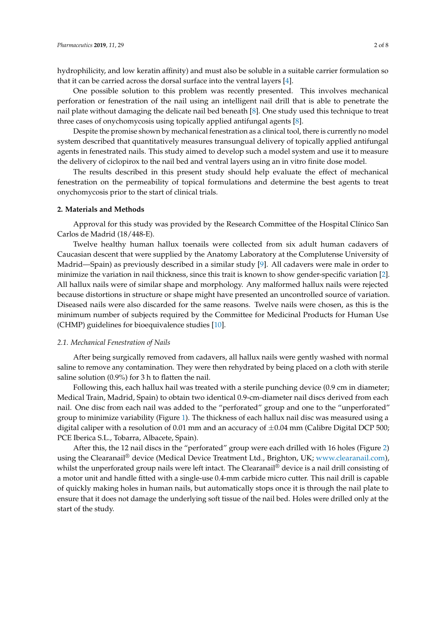hydrophilicity, and low keratin affinity) and must also be soluble in a suitable carrier formulation so that it can be carried across the dorsal surface into the ventral layers [\[4\]](#page-7-3).

One possible solution to this problem was recently presented. This involves mechanical perforation or fenestration of the nail using an intelligent nail drill that is able to penetrate the nail plate without damaging the delicate nail bed beneath [\[8\]](#page-7-7). One study used this technique to treat three cases of onychomycosis using topically applied antifungal agents [\[8\]](#page-7-7).

Despite the promise shown by mechanical fenestration as a clinical tool, there is currently no model system described that quantitatively measures transungual delivery of topically applied antifungal agents in fenestrated nails. This study aimed to develop such a model system and use it to measure the delivery of ciclopirox to the nail bed and ventral layers using an in vitro finite dose model.

The results described in this present study should help evaluate the effect of mechanical fenestration on the permeability of topical formulations and determine the best agents to treat onychomycosis prior to the start of clinical trials.

## **2. Materials and Methods**

Approval for this study was provided by the Research Committee of the Hospital Clínico San Carlos de Madrid (18/448-E).

Twelve healthy human hallux toenails were collected from six adult human cadavers of Caucasian descent that were supplied by the Anatomy Laboratory at the Complutense University of Madrid—Spain) as previously described in a similar study [\[9\]](#page-7-8). All cadavers were male in order to minimize the variation in nail thickness, since this trait is known to show gender-specific variation [\[2\]](#page-7-1). All hallux nails were of similar shape and morphology. Any malformed hallux nails were rejected because distortions in structure or shape might have presented an uncontrolled source of variation. Diseased nails were also discarded for the same reasons. Twelve nails were chosen, as this is the minimum number of subjects required by the Committee for Medicinal Products for Human Use (CHMP) guidelines for bioequivalence studies [\[10\]](#page-7-9).

## *2.1. Mechanical Fenestration of Nails*

After being surgically removed from cadavers, all hallux nails were gently washed with normal saline to remove any contamination. They were then rehydrated by being placed on a cloth with sterile saline solution (0.9%) for 3 h to flatten the nail.

Following this, each hallux hail was treated with a sterile punching device  $(0.9 \text{ cm in diameter})$ ; Medical Train, Madrid, Spain) to obtain two identical 0.9-cm-diameter nail discs derived from each nail. One disc from each nail was added to the "perforated" group and one to the "unperforated" group to minimize variability (Figure [1\)](#page-2-0). The thickness of each hallux nail disc was measured using a digital caliper with a resolution of 0.01 mm and an accuracy of  $\pm$ 0.04 mm (Calibre Digital DCP 500; PCE Iberica S.L., Tobarra, Albacete, Spain).

After this, the 12 nail discs in the "perforated" group were each drilled with 16 holes (Figure [2\)](#page-2-1) using the Clearanail® device (Medical Device Treatment Ltd., Brighton, UK; [www.clearanail.com\)](www.clearanail.com), whilst the unperforated group nails were left intact. The Clearanail<sup>®</sup> device is a nail drill consisting of a motor unit and handle fitted with a single-use 0.4-mm carbide micro cutter. This nail drill is capable of quickly making holes in human nails, but automatically stops once it is through the nail plate to ensure that it does not damage the underlying soft tissue of the nail bed. Holes were drilled only at the start of the study.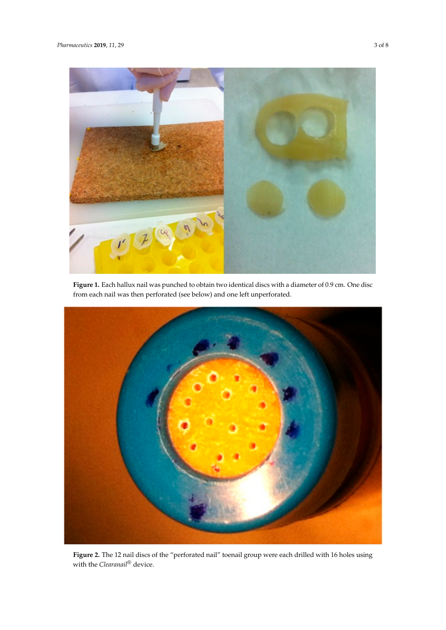<span id="page-2-0"></span>

Figure 1. Each hallux nail was punched to obtain two identical discs with a diameter of 0.9 cm. One disc from each nail was then perforated (see below) and one left unperforated.

<span id="page-2-1"></span>

Figure 2. The 12 nail discs of the "perforated nail" toenail group were each drilled with 16 holes using<br>with the Clearanail® device. with the *Clearanail®* device. with the *Clearanail®* device.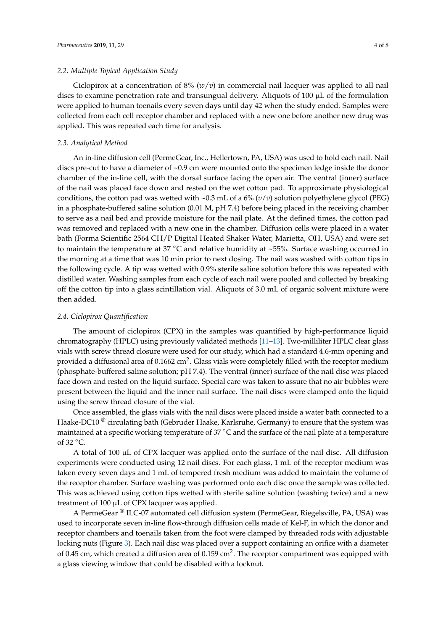Ciclopirox at a concentration of 8% (*w*/*v*) in commercial nail lacquer was applied to all nail discs to examine penetration rate and transungual delivery. Aliquots of 100  $\mu$ L of the formulation were applied to human toenails every seven days until day 42 when the study ended. Samples were collected from each cell receptor chamber and replaced with a new one before another new drug was applied. This was repeated each time for analysis.

# *2.3. Analytical Method*

An in-line diffusion cell (PermeGear, Inc., Hellertown, PA, USA) was used to hold each nail. Nail discs pre-cut to have a diameter of ~0.9 cm were mounted onto the specimen ledge inside the donor chamber of the in-line cell, with the dorsal surface facing the open air. The ventral (inner) surface of the nail was placed face down and rested on the wet cotton pad. To approximate physiological conditions, the cotton pad was wetted with ~0.3 mL of a 6% (*v*/*v*) solution polyethylene glycol (PEG) in a phosphate-buffered saline solution (0.01 M, pH 7.4) before being placed in the receiving chamber to serve as a nail bed and provide moisture for the nail plate. At the defined times, the cotton pad was removed and replaced with a new one in the chamber. Diffusion cells were placed in a water bath (Forma Scientific 2564 CH/P Digital Heated Shaker Water, Marietta, OH, USA) and were set to maintain the temperature at 37  $\degree$ C and relative humidity at ~55%. Surface washing occurred in the morning at a time that was 10 min prior to next dosing. The nail was washed with cotton tips in the following cycle. A tip was wetted with 0.9% sterile saline solution before this was repeated with distilled water. Washing samples from each cycle of each nail were pooled and collected by breaking off the cotton tip into a glass scintillation vial. Aliquots of 3.0 mL of organic solvent mixture were then added.

### *2.4. Ciclopirox Quantification*

The amount of ciclopirox (CPX) in the samples was quantified by high-performance liquid chromatography (HPLC) using previously validated methods [\[11](#page-7-10)[–13\]](#page-7-11). Two-milliliter HPLC clear glass vials with screw thread closure were used for our study, which had a standard 4.6-mm opening and provided a diffusional area of 0.1662  $\text{cm}^2$ . Glass vials were completely filled with the receptor medium (phosphate-buffered saline solution; pH 7.4). The ventral (inner) surface of the nail disc was placed face down and rested on the liquid surface. Special care was taken to assure that no air bubbles were present between the liquid and the inner nail surface. The nail discs were clamped onto the liquid using the screw thread closure of the vial.

Once assembled, the glass vials with the nail discs were placed inside a water bath connected to a Haake-DC10<sup>®</sup> circulating bath (Gebruder Haake, Karlsruhe, Germany) to ensure that the system was maintained at a specific working temperature of 37 ◦C and the surface of the nail plate at a temperature of  $32^{\circ}$ C.

A total of 100  $\mu$ L of CPX lacquer was applied onto the surface of the nail disc. All diffusion experiments were conducted using 12 nail discs. For each glass, 1 mL of the receptor medium was taken every seven days and 1 mL of tempered fresh medium was added to maintain the volume of the receptor chamber. Surface washing was performed onto each disc once the sample was collected. This was achieved using cotton tips wetted with sterile saline solution (washing twice) and a new treatment of 100 µL of CPX lacquer was applied.

A PermeGear ® ILC-07 automated cell diffusion system (PermeGear, Riegelsville, PA, USA) was used to incorporate seven in-line flow-through diffusion cells made of Kel-F, in which the donor and receptor chambers and toenails taken from the foot were clamped by threaded rods with adjustable locking nuts (Figure [3\)](#page-4-0). Each nail disc was placed over a support containing an orifice with a diameter of 0.45 cm, which created a diffusion area of 0.159 cm<sup>2</sup>. The receptor compartment was equipped with a glass viewing window that could be disabled with a locknut.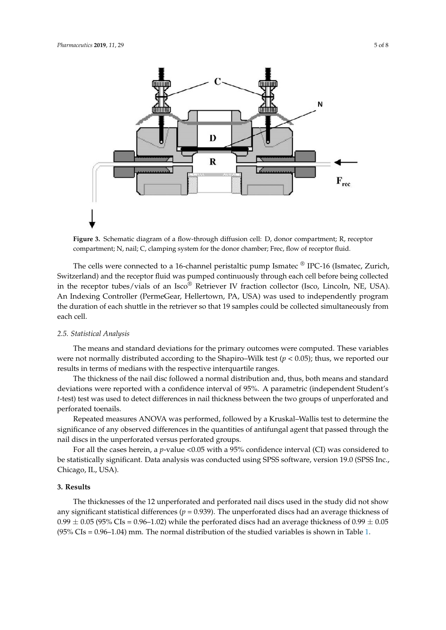<span id="page-4-0"></span>

**Figure 3.** Schematic diagram of a flow-through diffusion cell: D, donor compartment; R, receptor **Figure 3.** Schematic diagram of a flow-through diffusion cell: D, donor compartment; R, receptor compartment; N, nail; C, clamping system for the donor chamber; Frec, flow of receptor fluid. compartment; N, nail; C, clamping system for the donor chamber; Frec, flow of receptor fluid.

The cells were connected to a 16-channel peristaltic pump Ismatec ® IPC-16 (Ismatec, Zurich, Switzerland) and the receptor fluid was pumped continuously through each cell before being collected Switzerland) and the receptor fluid was pumped continuously through each cell before being in the receptor tubes/vials of an Isco® Retriever IV fraction collector (Isco, Lincoln, NE, USA). collected in the receptor tubes/vials of an Isco® Retriever IV fraction collector (Isco, Lincoln, NE, USA). An Indexing Controller (PermeGear, Hellertown, PA, USA) was used to independently program An Indexing Controller (PermetGear, Hellertown, Party David to Independently program the duration of each shuttle in the retriever so that 19 samples could be collected simultaneously from the state of the retriever so that 19 samples could be collected simultaneously from each cell. each cell. The cells were connected to a 16-channel peristaltic pump Ismatec ® IPC-16 (Ismatec, Zurich,

#### *2.5. Statistical Analysis 2.5. Statistical Analysis*

were not normally distributed according to the Shapiro–Wilk test ( $p < 0.05$ ); thus, we reported our results in terms of medians with the respective interquartile ranges. The means and standard deviations for the primary outcomes were computed. These variables

The thickness of the nail disc followed a normal distribution and, thus, both means and standard deviations were reported with a confidence interval of 95%. A parametric (independent Student's *t*-test) test was used to detect differences in nail thickness between the two groups of unperforated and  $t_{\text{e}}$  test was used to detect differences in nail the two groups of unperformed to analyze  $t_{\text{e}}$ perforated toenails.

Repeated measures ANOVA was performed, followed by a Kruskal–Wallis test to determine the significance of any observed differences in the quantities of antifungal agent that passed through the  $\overline{\text{a}}$  and discs in the unperforated versus perforated groups.

For all the cases herein, a *p*-value <0.05 with a 95% confidence interval (CI) was considered to be statistically significant. Data analysis was conducted using SPSS software, version 19.0 (SPSS Inc.,  $s_{\text{Ric200}}$  if  $\overline{1}$  is an analysis was conducted using SPSS software, version 19.0 (SPSS Inc.,  $\overline{1}$  inc.,  $\overline{1}$  inc.,  $\overline{1}$  inc.,  $\overline{1}$  inc.,  $\overline{1}$  inc.,  $\overline{1}$  inc.,  $\overline{1}$  inc.,  $\overline{1}$  inc.,  $\cup$ ,  $\cup$ ,  $\cup$ ,  $\cup$ Chicago, IL, USA).

# **3. Results**

**3. Results**  any significant statistical differences ( $p = 0.939$ ). The unperforated discs had an average thickness of  $0.99 \pm 0.05$  (95% CIs = 0.96–1.02) while the perforated discs had an average thickness of  $0.99 \pm 0.05$ (95% CIs = 0.96–1.04) mm. The normal distribution of the studied variables is shown in Table 1. The thicknesses of the 12 unperforated and perforated nail discs used in the study did not show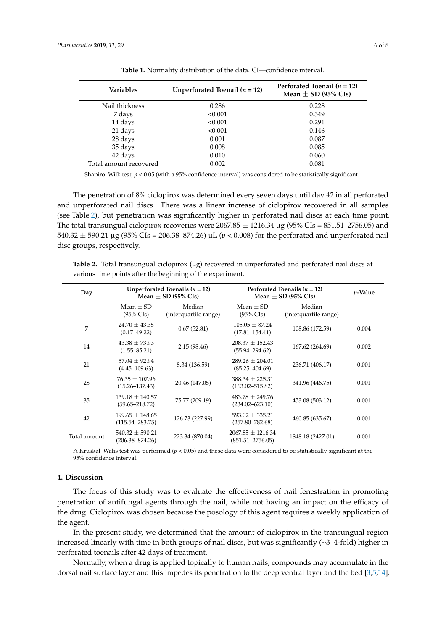<span id="page-5-0"></span>

| <b>Variables</b>       | Unperforated Toenail $(n = 12)$ | Perforated Toenail $(n = 12)$<br>Mean $\pm$ SD (95% CIs) |  |
|------------------------|---------------------------------|----------------------------------------------------------|--|
| Nail thickness         | 0.286                           | 0.228                                                    |  |
| 7 days                 | < 0.001                         | 0.349                                                    |  |
| 14 days                | < 0.001                         | 0.291                                                    |  |
| 21 days                | < 0.001                         | 0.146                                                    |  |
| 28 days                | 0.001                           | 0.087                                                    |  |
| 35 days                | 0.008                           | 0.085                                                    |  |
| 42 days                | 0.010                           | 0.060                                                    |  |
| Total amount recovered | 0.002                           | 0.081                                                    |  |
|                        |                                 |                                                          |  |

**Table 1.** Normality distribution of the data. CI—confidence interval.

Shapiro–Wilk test;  $p < 0.05$  (with a 95% confidence interval) was considered to be statistically significant.

The penetration of 8% ciclopirox was determined every seven days until day 42 in all perforated and unperforated nail discs. There was a linear increase of ciclopirox recovered in all samples (see Table [2\)](#page-5-1), but penetration was significantly higher in perforated nail discs at each time point. The total transungual ciclopirox recoveries were 2067.85  $\pm$  1216.34 µg (95% CIs = 851.51–2756.05) and 540.32  $\pm$  590.21  $\mu$ g (95% CIs = 206.38–874.26)  $\mu$ L ( $p < 0.008$ ) for the perforated and unperforated nail disc groups, respectively.

<span id="page-5-1"></span>**Table 2.** Total transungual ciclopirox (µg) recovered in unperforated and perforated nail discs at various time points after the beginning of the experiment.

| Day          | Unperforated Toenails $(n = 12)$<br>Mean $\pm$ SD (95% CIs) |                                 | Perforated Toenails $(n = 12)$<br>Mean $\pm$ SD (95% CIs) |                                 | <i>p</i> -Value |
|--------------|-------------------------------------------------------------|---------------------------------|-----------------------------------------------------------|---------------------------------|-----------------|
|              | Mean $+$ SD<br>$(95\% \text{ Cls})$                         | Median<br>(interquartile range) | Mean $+$ SD<br>$(95\% \text{ Cls})$                       | Median<br>(interquartile range) |                 |
| 7            | $24.70 \pm 43.35$<br>$(0.17 - 49.22)$                       | 0.67(52.81)                     | $105.05 \pm 87.24$<br>$(17.81 - 154.41)$                  | 108.86 (172.59)                 | 0.004           |
| 14           | $43.38 \pm 73.93$<br>$(1.55 - 85.21)$                       | 2.15(98.46)                     | $208.37 \pm 152.43$<br>$(55.94 - 294.62)$                 | 167.62 (264.69)                 | 0.002           |
| 21           | $57.04 + 92.94$<br>$(4.45 - 109.63)$                        | 8.34 (136.59)                   | $289.26 + 204.01$<br>$(85.25 - 404.69)$                   | 236.71 (406.17)                 | 0.001           |
| 28           | $76.35 \pm 107.96$<br>$(15.26 - 137.43)$                    | 20.46 (147.05)                  | $388.34 \pm 225.31$<br>$(163.02 - 515.82)$                | 341.96 (446.75)                 | 0.001           |
| 35           | $139.18 \pm 140.57$<br>$(59.65 - 218.72)$                   | 75.77 (209.19)                  | $483.78 \pm 249.76$<br>$(234.02 - 623.10)$                | 453.08 (503.12)                 | 0.001           |
| 42           | $199.65 \pm 148.65$<br>$(115.54 - 283.75)$                  | 126.73 (227.99)                 | $593.02 \pm 335.21$<br>$(257.80 - 782.68)$                | 460.85 (635.67)                 | 0.001           |
| Total amount | $540.32 \pm 590.21$<br>$(206.38 - 874.26)$                  | 223.34 (870.04)                 | $2067.85 \pm 1216.34$<br>$(851.51 - 2756.05)$             | 1848.18 (2427.01)               | 0.001           |

A Kruskal–Walis test was performed (*p* < 0.05) and these data were considered to be statistically significant at the 95% confidence interval.

## **4. Discussion**

The focus of this study was to evaluate the effectiveness of nail fenestration in promoting penetration of antifungal agents through the nail, while not having an impact on the efficacy of the drug. Ciclopirox was chosen because the posology of this agent requires a weekly application of the agent.

In the present study, we determined that the amount of ciclopirox in the transungual region increased linearly with time in both groups of nail discs, but was significantly (~3–4-fold) higher in perforated toenails after 42 days of treatment.

Normally, when a drug is applied topically to human nails, compounds may accumulate in the dorsal nail surface layer and this impedes its penetration to the deep ventral layer and the bed [\[3](#page-7-2)[,5](#page-7-4)[,14\]](#page-7-12).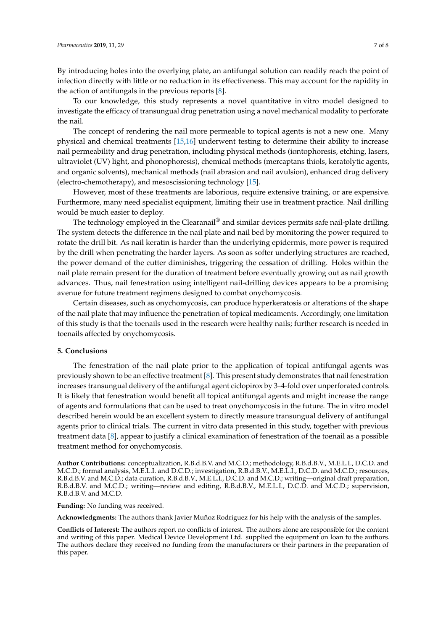By introducing holes into the overlying plate, an antifungal solution can readily reach the point of infection directly with little or no reduction in its effectiveness. This may account for the rapidity in the action of antifungals in the previous reports [\[8\]](#page-7-7).

To our knowledge, this study represents a novel quantitative in vitro model designed to investigate the efficacy of transungual drug penetration using a novel mechanical modality to perforate the nail.

The concept of rendering the nail more permeable to topical agents is not a new one. Many physical and chemical treatments [\[15,](#page-7-13)[16\]](#page-7-14) underwent testing to determine their ability to increase nail permeability and drug penetration, including physical methods (iontophoresis, etching, lasers, ultraviolet (UV) light, and phonophoresis), chemical methods (mercaptans thiols, keratolytic agents, and organic solvents), mechanical methods (nail abrasion and nail avulsion), enhanced drug delivery (electro-chemotherapy), and mesoscissioning technology [\[15\]](#page-7-13).

However, most of these treatments are laborious, require extensive training, or are expensive. Furthermore, many need specialist equipment, limiting their use in treatment practice. Nail drilling would be much easier to deploy.

The technology employed in the Clearanail<sup>®</sup> and similar devices permits safe nail-plate drilling. The system detects the difference in the nail plate and nail bed by monitoring the power required to rotate the drill bit. As nail keratin is harder than the underlying epidermis, more power is required by the drill when penetrating the harder layers. As soon as softer underlying structures are reached, the power demand of the cutter diminishes, triggering the cessation of drilling. Holes within the nail plate remain present for the duration of treatment before eventually growing out as nail growth advances. Thus, nail fenestration using intelligent nail-drilling devices appears to be a promising avenue for future treatment regimens designed to combat onychomycosis.

Certain diseases, such as onychomycosis, can produce hyperkeratosis or alterations of the shape of the nail plate that may influence the penetration of topical medicaments. Accordingly, one limitation of this study is that the toenails used in the research were healthy nails; further research is needed in toenails affected by onychomycosis.

## **5. Conclusions**

The fenestration of the nail plate prior to the application of topical antifungal agents was previously shown to be an effective treatment [\[8\]](#page-7-7). This present study demonstrates that nail fenestration increases transungual delivery of the antifungal agent ciclopirox by 3–4-fold over unperforated controls. It is likely that fenestration would benefit all topical antifungal agents and might increase the range of agents and formulations that can be used to treat onychomycosis in the future. The in vitro model described herein would be an excellent system to directly measure transungual delivery of antifungal agents prior to clinical trials. The current in vitro data presented in this study, together with previous treatment data [\[8\]](#page-7-7), appear to justify a clinical examination of fenestration of the toenail as a possible treatment method for onychomycosis.

**Author Contributions:** conceptualization, R.B.d.B.V. and M.C.D.; methodology, R.B.d.B.V., M.E.L.I., D.C.D. and M.C.D.; formal analysis, M.E.L.I. and D.C.D.; investigation, R.B.d.B.V., M.E.L.I., D.C.D. and M.C.D.; resources, R.B.d.B.V. and M.C.D.; data curation, R.B.d.B.V., M.E.L.I., D.C.D. and M.C.D.; writing—original draft preparation, R.B.d.B.V. and M.C.D.; writing—review and editing, R.B.d.B.V., M.E.L.I., D.C.D. and M.C.D.; supervision, R.B.d.B.V. and M.C.D.

**Funding:** No funding was received.

**Acknowledgments:** The authors thank Javier Muñoz Rodríguez for his help with the analysis of the samples.

**Conflicts of Interest:** The authors report no conflicts of interest. The authors alone are responsible for the content and writing of this paper. Medical Device Development Ltd. supplied the equipment on loan to the authors. The authors declare they received no funding from the manufacturers or their partners in the preparation of this paper.